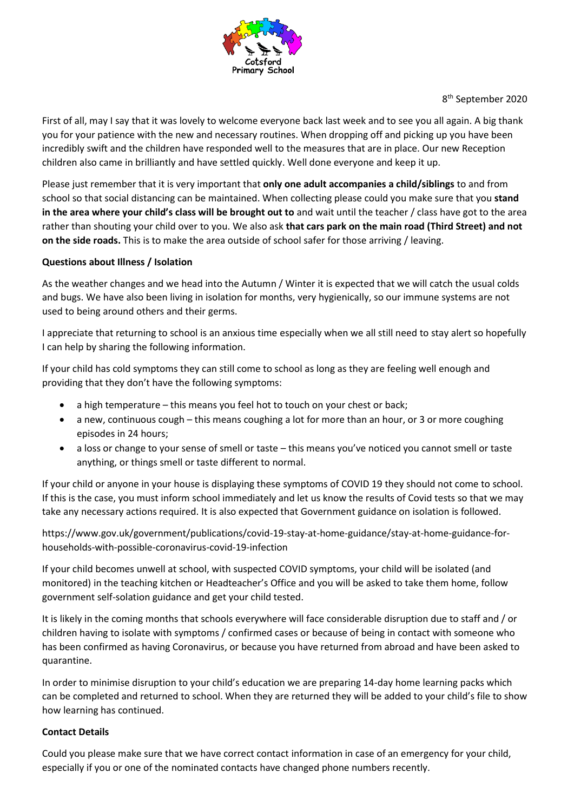

8 th September 2020

First of all, may I say that it was lovely to welcome everyone back last week and to see you all again. A big thank you for your patience with the new and necessary routines. When dropping off and picking up you have been incredibly swift and the children have responded well to the measures that are in place. Our new Reception children also came in brilliantly and have settled quickly. Well done everyone and keep it up.

Please just remember that it is very important that **only one adult accompanies a child/siblings** to and from school so that social distancing can be maintained. When collecting please could you make sure that you **stand in the area where your child's class will be brought out to** and wait until the teacher / class have got to the area rather than shouting your child over to you. We also ask **that cars park on the main road (Third Street) and not on the side roads.** This is to make the area outside of school safer for those arriving / leaving.

# **Questions about Illness / Isolation**

As the weather changes and we head into the Autumn / Winter it is expected that we will catch the usual colds and bugs. We have also been living in isolation for months, very hygienically, so our immune systems are not used to being around others and their germs.

I appreciate that returning to school is an anxious time especially when we all still need to stay alert so hopefully I can help by sharing the following information.

If your child has cold symptoms they can still come to school as long as they are feeling well enough and providing that they don't have the following symptoms:

- a high temperature this means you feel hot to touch on your chest or back;
- a new, continuous cough this means coughing a lot for more than an hour, or 3 or more coughing episodes in 24 hours;
- a loss or change to your sense of smell or taste this means you've noticed you cannot smell or taste anything, or things smell or taste different to normal.

If your child or anyone in your house is displaying these symptoms of COVID 19 they should not come to school. If this is the case, you must inform school immediately and let us know the results of Covid tests so that we may take any necessary actions required. It is also expected that Government guidance on isolation is followed.

https://www.gov.uk/government/publications/covid-19-stay-at-home-guidance/stay-at-home-guidance-forhouseholds-with-possible-coronavirus-covid-19-infection

If your child becomes unwell at school, with suspected COVID symptoms, your child will be isolated (and monitored) in the teaching kitchen or Headteacher's Office and you will be asked to take them home, follow government self-solation guidance and get your child tested.

It is likely in the coming months that schools everywhere will face considerable disruption due to staff and / or children having to isolate with symptoms / confirmed cases or because of being in contact with someone who has been confirmed as having Coronavirus, or because you have returned from abroad and have been asked to quarantine.

In order to minimise disruption to your child's education we are preparing 14-day home learning packs which can be completed and returned to school. When they are returned they will be added to your child's file to show how learning has continued.

### **Contact Details**

Could you please make sure that we have correct contact information in case of an emergency for your child, especially if you or one of the nominated contacts have changed phone numbers recently.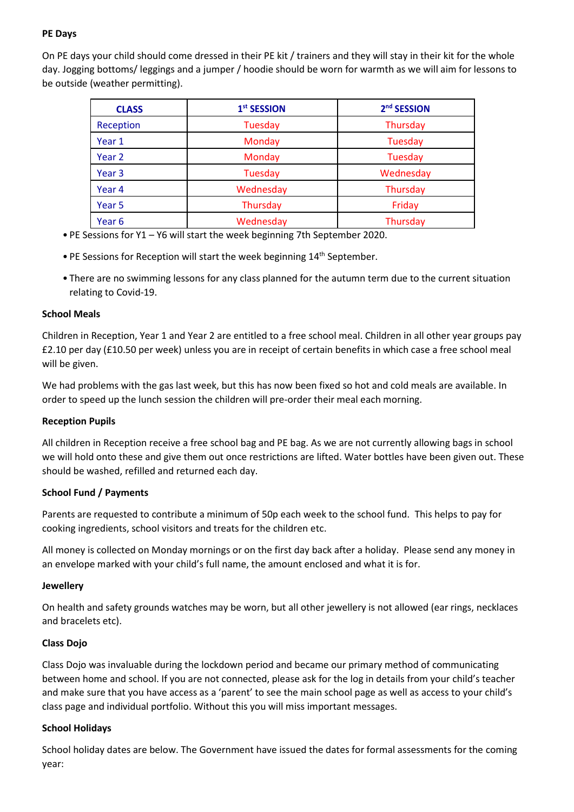# **PE Days**

On PE days your child should come dressed in their PE kit / trainers and they will stay in their kit for the whole day. Jogging bottoms/ leggings and a jumper / hoodie should be worn for warmth as we will aim for lessons to be outside (weather permitting).

| <b>CLASS</b>      | 1st SESSION | 2 <sup>nd</sup> SESSION |
|-------------------|-------------|-------------------------|
| Reception         | Tuesday     | Thursday                |
| Year 1            | Monday      | Tuesday                 |
| Year 2            | Monday      | Tuesday                 |
| Year <sub>3</sub> | Tuesday     | Wednesday               |
| Year 4            | Wednesday   | Thursday                |
| Year 5            | Thursday    | Friday                  |
| Year <sub>6</sub> | Wednesday   | Thursday                |

- PE Sessions for Y1 Y6 will start the week beginning 7th September 2020.
- PE Sessions for Reception will start the week beginning 14<sup>th</sup> September.
- There are no swimming lessons for any class planned for the autumn term due to the current situation relating to Covid-19.

### **School Meals**

Children in Reception, Year 1 and Year 2 are entitled to a free school meal. Children in all other year groups pay £2.10 per day (£10.50 per week) unless you are in receipt of certain benefits in which case a free school meal will be given.

We had problems with the gas last week, but this has now been fixed so hot and cold meals are available. In order to speed up the lunch session the children will pre-order their meal each morning.

# **Reception Pupils**

All children in Reception receive a free school bag and PE bag. As we are not currently allowing bags in school we will hold onto these and give them out once restrictions are lifted. Water bottles have been given out. These should be washed, refilled and returned each day.

# **School Fund / Payments**

Parents are requested to contribute a minimum of 50p each week to the school fund. This helps to pay for cooking ingredients, school visitors and treats for the children etc.

All money is collected on Monday mornings or on the first day back after a holiday. Please send any money in an envelope marked with your child's full name, the amount enclosed and what it is for.

### **Jewellery**

On health and safety grounds watches may be worn, but all other jewellery is not allowed (ear rings, necklaces and bracelets etc).

### **Class Dojo**

Class Dojo was invaluable during the lockdown period and became our primary method of communicating between home and school. If you are not connected, please ask for the log in details from your child's teacher and make sure that you have access as a 'parent' to see the main school page as well as access to your child's class page and individual portfolio. Without this you will miss important messages.

### **School Holidays**

School holiday dates are below. The Government have issued the dates for formal assessments for the coming year: